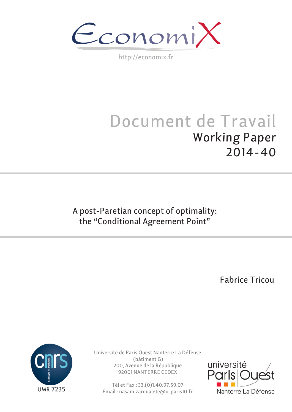$\epsilon$ conomi)

http://economix.fr

# Document de Travail Working Paper 2014-40

A post-Paretian concept of optimality: the "Conditional Agreement Point"

Fabrice Tricou



Université de Paris Ouest Nanterre La Défense (bâtiment G) 200, Avenue de la République 92001 NANTERRE CEDEX

Tél et Fax : 33.(0)1.40.97.59.07 Email : nasam.zaroualete@u-paris10.fr

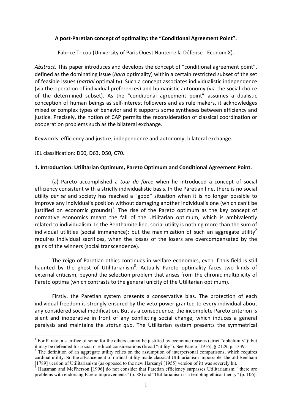# **A post‐Paretian concept of optimality: the "Conditional Agreement Point".**

Fabrice Tricou (University of Paris Ouest Nanterre la Défense ‐ EconomiX).

*Abstract*. This paper introduces and develops the concept of "conditional agreement point", defined as the dominating issue (*hard* optimality) within a certain restricted subset of the set of feasible issues (*partial* optimality). Such a concept associates individualistic independence (via the operation of individual preferences) and humanistic autonomy (via the social choice of the determined subset). As the "conditional agreement point" assumes a dualistic conception of human beings as self‐interest followers and as rule makers, it acknowledges mixed or complex types of behavior and it supports some syntheses between efficiency and justice. Precisely, the notion of CAP permits the reconsideration of classical coordination or cooperation problems such as the bilateral exchange.

Keywords: efficiency and justice; independence and autonomy; bilateral exchange.

JEL classification: D60, D63, D50, C70.

1

# **1. Introduction: Utilitarian Optimum, Pareto Optimum and Conditional Agreement Point.**

(a) Pareto accomplished a *tour de force* when he introduced a concept of social efficiency consistent with a strictly individualistic basis. In the Paretian line, there is no social utility *per se* and society has reached a "good" situation when it is no longer possible to improve any individual's position without damaging another individual's one (which can't be justified on economic grounds)<sup>1</sup>. The rise of the Pareto optimum as the key concept of normative economics meant the fall of the Utilitarian optimum, which is ambivalently related to individualism. In the Benthamite line, social utility is nothing more than the sum of individual utilities (social immanence); but the maximization of such an aggregate utility<sup>2</sup> requires individual sacrifices, when the losses of the losers are overcompensated by the gains of the winners (social transcendence).

The reign of Paretian ethics continues in welfare economics, even if this field is still haunted by the ghost of Utilitarianism<sup>3</sup>. Actually Pareto optimality faces two kinds of external criticism, beyond the selection problem that arises from the chronic multiplicity of Pareto optima (which contrasts to the general unicity of the Utilitarian optimum).

Firstly, the Paretian system presents a conservative bias. The protection of each individual freedom is strongly ensured by the veto power granted to every individual about any considered social modification. But as a consequence, the incomplete Pareto criterion is silent and inoperative in front of any conflicting social change, which induces a general paralysis and maintains the *status quo*. The Utilitarian system presents the symmetrical

<sup>&</sup>lt;sup>1</sup> For Pareto, a sacrifice of some for the others cannot be justified by economic reasons (strict "ophelimity"); but it may be defended for social or ethical considerations (broad "utility"). See Pareto [1916], § 2129, p. 1339. 2

 $2$  The definition of an aggregate utility relies on the assumption of interpersonal comparisons, which requires cardinal utility. So the advancement of ordinal utility made classical Utilitarianism impossible: the old Bentham [1789] version of Utilitarianism (as opposed to the new Harsanyi [1955] version of it) was severely hit.

Hausman and McPherson [1996] do not consider that Paretian efficiency surpasses Utilitarianism: "there are problems with endorsing Pareto improvements" (p. 88) and "Utilitarianism is a tempting ethical theory" (p. 106).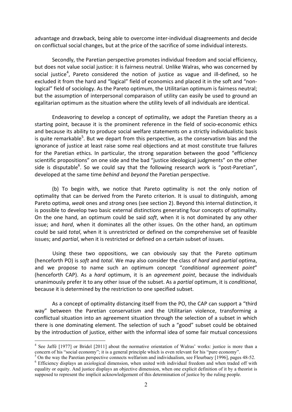advantage and drawback, being able to overcome inter‐individual disagreements and decide on conflictual social changes, but at the price of the sacrifice of some individual interests.

Secondly, the Paretian perspective promotes individual freedom and social efficiency, but does not value social justice: it is fairness neutral. Unlike Walras, who was concerned by social justice<sup>4</sup>, Pareto considered the notion of justice as vague and ill-defined, so he excluded it from the hard and "logical" field of economics and placed it in the soft and "non‐ logical" field of sociology. As the Pareto optimum, the Utilitarian optimum is fairness neutral; but the assumption of interpersonal comparaison of utility can easily be used to ground an egalitarian optimum as the situation where the utility levels of all individuals are identical.

Endeavoring to develop a concept of optimality, we adopt the Paretian theory as a starting point, because it is the prominent reference in the field of socio-economic ethics and because its ability to produce social welfare statements on a strictly individualistic basis is quite remarkable<sup>5</sup>. But we depart from this perspective, as the conservatism bias and the ignorance of justice at least raise some real objections and at most constitute true failures for the Paretian ethics. In particular, the strong separation between the good "efficiency scientific propositions" on one side and the bad "justice ideological judgments" on the other side is disputable<sup>6</sup>. So we could say that the following research work is "post-Paretian", developed at the same time *behind* and *beyond* the Paretian perspective.

(b) To begin with, we notice that Pareto optimality is not the only notion of optimality that can be derived from the Pareto criterion. It is usual to distinguish, among Pareto optima, *weak* ones and *strong* ones (see section 2). Beyond this internal distinction, it is possible to develop two basic external distinctions generating four concepts of optimality. On the one hand, an optimum could be said *soft*, when it is not dominated by any other issue; and *hard*, when it dominates all the other issues. On the other hand, an optimum could be said *total*, when it is unrestricted or defined on the comprehensive set of feasible issues; and *partial*, when it is restricted or defined on a certain subset of issues.

Using these two oppositions, we can obviously say that the Pareto optimum (henceforth PO) is *soft* and *total*. We may also consider the class of *hard* and *partial* optima, and we propose to name such an optimum concept "*conditional agreement point*" (henceforth CAP). As a *hard* optimum, it is an *agreement point*, because the individuals unanimously prefer it to any other issue of the subset. As a *partial* optimum, it is *conditional*, because it is determined by the restriction to one specified subset.

As a concept of optimality distancing itself from the PO, the CAP can support a "third way" between the Paretian conservatism and the Utilitarian violence, transforming a conflictual situation into an agreement situation through the selection of a subset in which there is one dominating element. The selection of such a "good" subset could be obtained by the introduction of justice, either with the informal idea of some fair mutual concessions

<sup>&</sup>lt;sup>4</sup> See Jaffé [1977] or Bridel [2011] about the normative orientation of Walras' works: justice is more than a concern of his "social economy"; it is a general principle which is even relevant for his "pure economy".

<sup>&</sup>lt;sup>5</sup> On the way the Paretian perspective connects welfarism and individualism, see Fleurbaey [1996], pages 48-52. <sup>6</sup> Efficiency displays an axiological dimension, when united with individual freedom and when traded off with equality or equity. And justice displays an objective dimension, when one explicit definition of it by a theorist is supposed to represent the implicit acknowledgement of this determination of justice by the ruling people.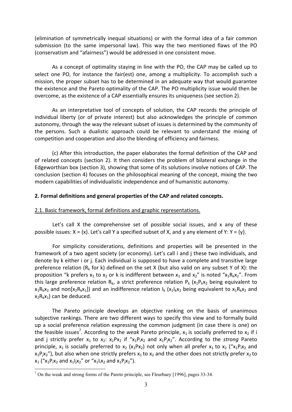(elimination of symmetrically inequal situations) or with the formal idea of a fair common submission (to the same impersonal law). This way the two mentioned flaws of the PO (conservatism and "afairness") would be addressed in one consistent move.

As a concept of optimality staying in line with the PO, the CAP may be called up to select one PO, for instance the fair(est) one, among a multiplicity. To accomplish such a mission, the proper subset has to be determined in an adequate way that would guarantee the existence and the Pareto optimality of the CAP. The PO multiplicity issue would then be overcome, as the existence of a CAP essentially ensures its uniqueness (see section 2).

As an interpretative tool of concepts of solution, the CAP records the principle of individual liberty (or of private interest) but also acknowledges the principle of common autonomy, through the way the relevant subset of issues is determined by the community of the persons. Such a dualistic approach could be relevant to understand the mixing of competition and cooperation and also the blending of efficiency and fairness.

(c) After this introduction, the paper elaborates the formal definition of the CAP and of related concepts (section 2). It then considers the problem of bilateral exchange in the Edgeworthian box (section 3), showing that some of its solutions involve notions of CAP. The conclusion (section 4) focuses on the philosophical meaning of the concept, mixing the two modern capabilities of individualistic independence and of humanistic autonomy.

# **2. Formal definitions and general properties of the CAP and related concepts.**

## 2.1. Basic framework, formal definitions and graphic representations.

Let's call X the comprehensive set of possible social issues, and x any of these possible issues:  $X = \{x\}$ . Let's call Y a specified subset of X, and y any element of Y: Y =  $\{y\}$ .

For simplicity considerations, definitions and properties will be presented in the framework of a two agent society (or economy). Let's call i and j these two individuals, and denote by k either i or j. Each individual is supposed to have a complete and transitive large preference relation ( $R_k$  for k) defined on the set X (but also valid on any subset Y of X): the proposition "k prefers  $x_1$  to  $x_2$  or k is indifferent between  $x_1$  and  $x_2$ " is noted " $x_1R_kx_2$ ". From this large preference relation  $R_k$ , a strict preference relation  $P_k$  ( $x_1P_kx_2$  being equivalent to  $x_1R_kx_2$  and non[ $x_2R_kx_1$ ]) and an indifference relation  $I_k$  ( $x_1I_kx_2$  being equivalent to  $x_1R_kx_2$  and  $x_2R_kx_1$ ) can be deduced.

The Pareto principle develops an objective ranking on the basis of unanimous subjective rankings. There are two different ways to specify this view and to formally build up a social preference relation expressing the common judgment (in case there is one) on the feasible issues<sup>7</sup>. According to the *weak* Pareto principle,  $x_1$  is socially preferred to  $x_2$  if i and j strictly prefer  $x_1$  to  $x_2$ :  $x_1Px_2$  if " $x_1P_ix_2$  and  $x_1P_ix_2$ ". According to the *strong* Pareto principle,  $x_1$  is socially preferred to  $x_2$  ( $x_1Px_2$ ) not only when all prefer  $x_1$  to  $x_2$  (" $x_1P_1x_2$  and  $x_1P_1x_2$ "), but also when one strictly prefers  $x_1$  to  $x_2$  and the other does not strictly prefer  $x_2$  to  $x_1$  (" $x_1P_1x_2$  and  $x_1I_1x_2$ " or " $x_1I_1x_2$  and  $x_1P_1x_2$ ").

<sup>1</sup>  $<sup>7</sup>$  On the weak and strong forms of the Pareto principle, see Fleurbaey [1996], pages 33-34.</sup>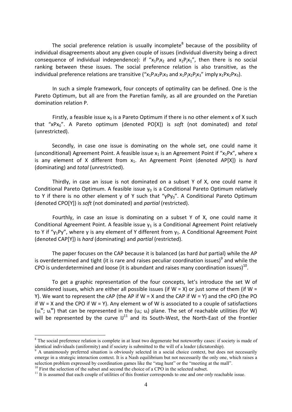The social preference relation is usually incomplete $8$  because of the possibility of individual disagreements about any given couple of issues (individual diversity being a direct consequence of individual independence): if " $x_1P_1x_2$  and  $x_2P_1x_1$ ", then there is no social ranking between these issues. The social preference relation is also transitive, as the individual preference relations are transitive  $({}^{\prime\prime}x_1P_1x_2P_1x_3$  and  $x_1P_1x_2P_1x_3$ " imply  $x_1Px_2Px_3$ ).

In such a simple framework, four concepts of optimality can be defined. One is the Pareto Optimum, but all are from the Paretian family, as all are grounded on the Paretian domination relation P.

Firstly, a feasible issue  $x_0$  is a Pareto Optimum if there is no other element x of X such that "xPx0". A Pareto optimum (denoted PO[X]) is *soft* (not dominated) and *total* (unrestricted).

Secondly, in case one issue is dominating on the whole set, one could name it (unconditional) Agreement Point. A feasible issue  $x_1$  is an Agreement Point if " $x_1Px$ ", where x is any element of X different from x<sub>1</sub>. An Agreement Point (denoted AP[X]) is *hard* (dominating) and *total* (unrestricted).

Thirdly, in case an issue is not dominated on a subset Y of X, one could name it Conditional Pareto Optimum. A feasible issue  $y_0$  is a Conditional Pareto Optimum relatively to Y if there is no other element y of Y such that " $yPy<sub>0</sub>$ ". A Conditional Pareto Optimum (denoted CPO[Y]) is *soft* (not dominated) and *partial* (restricted).

Fourthly, in case an issue is dominating on a subset Y of X, one could name it Conditional Agreement Point. A feasible issue  $y_1$  is a Conditional Agreement Point relatively to Y if " $y_1$ Py", where y is any element of Y different from  $y_1$ . A Conditional Agreement Point (denoted CAP[Y]) is *hard* (dominating) and *partial* (restricted).

The paper focuses on the CAP because it is balanced (as hard *but* partial) while the AP is overdetermined and tight (it is rare and raises peculiar coordination issues) $9$  and while the CPO is underdetermined and loose (it is abundant and raises many coordination issues)<sup>10</sup>.

To get a graphic representation of the four concepts, let's introduce the set W of considered issues, which are either all possible issues (if  $W = X$ ) or just some of them (if  $W =$ Y). We want to represent the cAP (the AP if  $W = X$  and the CAP if  $W = Y$ ) and the cPO (the PO if  $W = X$  and the CPO if  $W = Y$ ). Any element w of W is associated to a couple of satisfactions  $(u_i^w; u_i^w)$  that can be represented in the  $(u_i; u_i)$  plane. The set of reachable utilities (for W) will be represented by the curve  $IJ<sup>11</sup>$  and its South-West, the North-East of the frontier

<sup>&</sup>lt;sup>8</sup> The social preference relation is complete in at least two degenerate but noteworthy cases: if society is made of identical individuals (uniformity) and if society is submitted to the will of a leader (dictatorship).

<sup>&</sup>lt;sup>9</sup> A unanimously preferred situation is obviously selected in a social choice context, but does not necessarily emerge in a strategic interaction context. It is a Nash equilibrium but not necessarily the only one, which raises a selection problem expressed by coordination games like the "stag hunt" or the "meeting at the mall".<br><sup>10</sup> First the selection of the subset and second the choice of a CPO in the selected subset.

<sup>&</sup>lt;sup>11</sup> It is assumed that each couple of utilities of this frontier corresponds to one and *one only* reachable issue.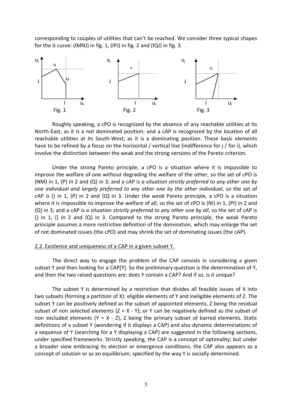corresponding to couples of utilities that can't be reached. We consider three typical shapes for the IJ curve: (IMNJ) in fig. 1, (IPJ) in fig. 2 and (IQJ) in fig. 3.



Roughly speaking, a cPO is recognized by the absence of any reachable utilities at its North‐East, as it is a not dominated position; and a cAP is recognized by the location of all reachable utilities at its South‐West, as it is a dominating position. These basic elements have to be refined by a focus on the horizontal / vertical line (indifference for j / for i), which involve the distinction between the weak and the strong versions of the Pareto criterion.

Under the *strong* Pareto principle, a cPO is a situation where it is impossible to improve the welfare of one without degrading the welfare of the other, so the set of cPO is (NM) in 1, {P} in 2 and {Q} in 3; and a cAP is *a situation strictly preferred to any other one by one individual and largely preferred to any other one by the other individual*, so the set of cAP is {} in 1, {P} in 2 and {Q} in 3. Under the *weak* Pareto principle, a cPO is a situation where it is impossible to improve the welfare of all, so the set of cPO is (NI) in 1, (PI) in 2 and {Q} in 3; and a cAP is *a situation strictly preferred to any other one by all*, so the set of cAP is  $\{\}$  in 1,  $\{\}$  in 2 and  $\{Q\}$  in 3. Compared to the strong Pareto principle, the weak Pareto principle assumes a more restrictive definition of the domination, which may enlarge the set of not dominated issues (the cPO) and may shrink the set of dominating issues (the cAP).

#### 2.2. Existence and uniqueness of a CAP in a given subset Y.

The direct way to engage the problem of the CAP consists in considering a given subset Y and then looking for a CAP[Y]. So the preliminary question is the determination of Y, and then the two raised questions are: does Y contain a CAP? And if so, is it unique?

The subset Y is determined by a restriction that divides all feasible issues of X into two subsets (forming a partition of X): eligible elements of Y and ineligible elements of Z. The subset Y can be positively defined as the subset of appointed elements, Z being the residual subset of non selected elements  $(Z = X - Y)$ ; or Y can be negatively defined as the subset of non excluded elements  $(Y = X - Z)$ , Z being the primary subset of barred elements. Static definitions of a subset Y (wondering if it displays a CAP) and also dynamic determinations of a sequence of Y (searching for a Y displaying a CAP) are suggested in the following sections, under specified frameworks. Strictly speaking, the CAP is a concept of optimality; but under a broader view embracing its election or emergence conditions, the CAP also appears as a concept of solution or as an equilibrium, specified by the way Y is socially determined.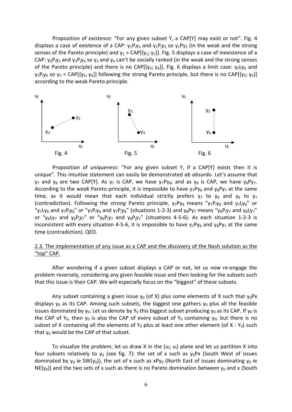Proposition of *existence*: "For any given subset Y, a CAP[Y] may exist or not". Fig. 4 displays a case of existence of a CAP:  $y_1P_iy_2$  and  $y_1P_iy_2$  so  $y_1Py_2$  (in the weak and the strong senses of the Pareto principle) and  $y_1 = CAP[\{y_1, y_2\}]$ . Fig. 5 displays a case of inexistence of a CAP:  $y_4P_iy_3$  and  $y_3P_iy_4$  so  $y_3$  and  $y_4$  can't be socially ranked (in the weak and the strong senses of the Pareto principle) and there is no CAP[ $\{y_3; y_4\}$ ]. Fig. 6 displays a limit case:  $y_5\{y_6\}$  and  $y_5P_jy_6$  so  $y_5$  = CAP[{ $y_5$ ;  $y_6$ }] following the strong Pareto principle, but there is no CAP[{ $y_5$ ;  $y_6$ }] according to the weak Pareto principle.



Proposition of *uniqueness*: "For any given subset Y, if a CAP[Y] exists then it is unique". This intuitive statement can easily be demonstrated *ab absurdo*. Let's assume that  $y_7$  and  $y_8$  are two CAP[Y]. As  $y_7$  is CAP, we have  $y_7Py_8$ ; and as  $y_8$  is CAP, we have  $y_8Py_7$ . According to the *weak* Pareto principle, it is impossible to have  $y_7Py_8$  and  $y_8Py_7$  at the same time, as it would mean that each individual strictly prefers  $y_7$  to  $y_8$  and  $y_8$  to  $y_7$ (contradiction). Following the *strong* Pareto principle,  $y_7Py_8$  means " $y_7Py_8$  and  $y_7I_1y_8$ " or " $y_7$ l<sub>i</sub>y<sub>8</sub> and  $y_7P_1y_8$ " or " $y_7P_1y_8$  and  $y_7P_1y_8$ " (situations 1-2-3) and  $y_8P_1y_7$  means " $y_8P_1y_7$  and  $y_8I_1y_7$ " or "y<sub>8</sub> $\frac{1}{1}y_7$  and y<sub>8</sub> $\frac{P_1y_7}{P_1y_7}$  and y<sub>8</sub> $\frac{P_1y_7}{P_1y_7}$  (situations 4-5-6). As each situation 1-2-3 is inconsistent with every situation 4-5-6, it is impossible to have  $y_7Py_8$  and  $y_8Py_7$  at the same time (contradiction). QED.

# 2.3. The implementation of any issue as a CAP and the discovery of the Nash solution as the "top" CAP.

After wondering if a given subset displays a CAP or not, let us now re-engage the problem reversely, considering any given feasible issue and then looking for the subsets such that this issue is their CAP. We will especially focus on the "biggest" of these subsets.

Any subset containing a given issue  $y_0$  (of X) plus some elements of X such that  $y_0Px$ displays  $y_0$  as its CAP. Among such subsets, the biggest one gathers  $y_0$  plus all the feasible issues dominated by  $y_0$ . Let us denote by  $Y_0$  this biggest subset producing  $y_0$  as its CAP. If  $y_0$  is the CAP of Y<sub>0</sub>, then  $y_0$  is also the CAP of every subset of Y<sub>0</sub> containing  $y_0$ ; but there is no subset of X containing all the elements of  $Y_0$  plus at least one other element (of X -  $Y_0$ ) such that  $y_0$  would be the CAP of that subset.

To visualize the problem, let us draw X in the  $(u_i; u_i)$  plane and let us partition X into four subsets relatively to  $y_0$  (see fig. 7): the set of x such as  $y_0Px$  (South West of issues dominated by  $y_0$  ie SW(y<sub>0</sub>)), the set of x such as xPy<sub>0</sub> (North East of issues dominating y<sub>0</sub> ie  $NE(y_0)$ ) and the two sets of x such as there is no Pareto domination between  $y_0$  and x (South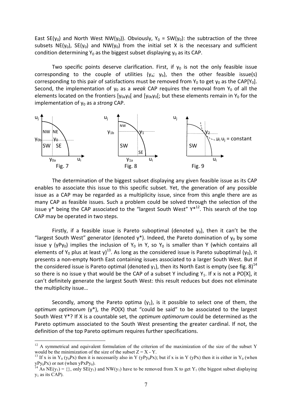East SE(y<sub>0</sub>) and North West NW(y<sub>0</sub>)). Obviously, Y<sub>0</sub> = SW(y<sub>0</sub>): the subtraction of the three subsets NE(y<sub>0</sub>), SE(y<sub>0</sub>) and NW(y<sub>0</sub>) from the initial set X is the necessary and sufficient condition determining  $Y_0$  as the biggest subset displaying  $y_0$  as its CAP.

Two specific points deserve clarification. First, if  $y_0$  is not the only feasible issue corresponding to the couple of utilities  $(y_a; y_b)$ , then the other feasible issue(s) corresponding to this pair of satisfactions must be removed from  $Y_0$  to get  $y_0$  as the CAP[ $Y_0$ ]. Second, the implementation of  $y_0$  as a *weak* CAP requires the removal from  $Y_0$  of all the elements located on the frontiers  $[y_{0a}y_{0}]$  and  $[y_{0b}y_{0}]$ ; but these elements remain in  $Y_0$  for the implementation of y<sub>0</sub> as a *strong* CAP.



The determination of the biggest subset displaying any given feasible issue as its CAP enables to associate this issue to this specific subset. Yet, the generation of any possible issue as a CAP may be regarded as a multiplicity issue, since from this angle there are as many CAP as feasible issues. Such a problem could be solved through the selection of the issue  $y^*$  being the CAP associated to the "largest South West"  $Y^{*12}$ . This search of the top CAP may be operated in two steps.

Firstly, if a feasible issue is Pareto suboptimal (denoted  $y_0$ ), then it can't be the "largest South West" generator (denoted  $y^*$ ). Indeed, the Pareto domination of  $y_0$  by some issue y (yPy<sub>0</sub>) implies the inclusion of Y<sub>0</sub> in Y, so Y<sub>0</sub> is smaller than Y (which contains all elements of Y<sub>0</sub> plus at least y)<sup>13</sup>. As long as the considered issue is Pareto suboptimal (y<sub>0</sub>), it presents a non-empty North East containing issues associated to a larger South West. But if the considered issue is Pareto optimal (denoted  $y_1$ ), then its North East is empty (see fig. 8)<sup>14</sup> so there is no issue y that would be the CAP of a subset Y including  $Y_1$ . If x is not a PO[X], it can't definitely generate the largest South West: this result reduces but does not eliminate the multiplicity issue…

Secondly, among the Pareto optima  $(y_1)$ , is it possible to select one of them, the *optimum optimorum* (y\*), the PO(X) that "could be said" to be associated to the largest South West Y\*? If X is a countable set, the *optimum optimorum* could be determined as the Pareto optimum associated to the South West presenting the greater cardinal. If not, the definition of the top Pareto optimum requires further specifications.

<sup>&</sup>lt;sup>12</sup> A symmetrical and equivalent formulation of the criterion of the maximization of the size of the subset Y would be the minimization of the size of the subset  $Z = X - Y$ .

<sup>&</sup>lt;sup>13</sup> If x is in Y<sub>0</sub> (y<sub>0</sub>Px) then it is necessarily also in Y (yPy<sub>0</sub>Px); but if x is in Y (yPx) then it is either in Y<sub>0</sub> (when  $yPy_0Px$ ) or not (when  $yPxPy_0$ ).<br><sup>14</sup> As NE(y<sub>1</sub>) = {}, only SE(y<sub>1</sub>) and NW(y<sub>1</sub>) have to be removed from X to get Y<sub>1</sub> (the biggest subset displaying

 $y_1$  as its CAP).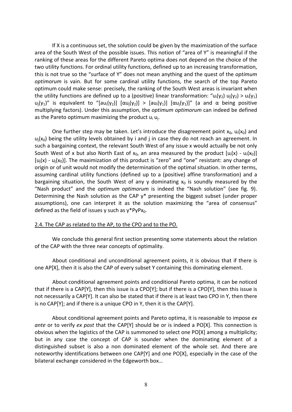If X is a continuous set, the solution could be given by the maximization of the surface area of the South West of the possible issues. This notion of "area of Y" is meaningful if the ranking of these areas for the different Pareto optima does not depend on the choice of the two utility functions. For ordinal utility functions, defined up to an increasing transformation, this is not true so the "surface of Y" does not mean anything and the quest of the *optimum optimorum* is vain. But for some cardinal utility functions, the search of the top Pareto optimum could make sense: precisely, the ranking of the South West areas is invariant when the utility functions are defined up to a (positive) linear transformation: " $u_i(y_2) u_i(y_2) > u_i(y_1)$ u<sub>i</sub>(y<sub>1</sub>)" is equivalent to "[au<sub>i</sub>(y<sub>2</sub>)] [αu<sub>i</sub>(y<sub>2</sub>)] > [au<sub>i</sub>(y<sub>1</sub>)] [αu<sub>j</sub>(y<sub>1</sub>)]" (a and α being positive multiplying factors). Under this assumption, the *optimum optimorum* can indeed be defined as the Pareto optimum maximizing the product  $u_i u_i$ .

One further step may be taken. Let's introduce the disagreement point  $x_0$ ,  $u_i(x_0)$  and  $u_i(x_0)$  being the utility levels obtained by i and j in case they do not reach an agreement. In such a bargaining context, the relevant South West of any issue x would actually be not only South West of x but also North East of  $x_0$ , an area measured by the product  $[u_i(x) - u_i(x_0)]$  $[u_i(x) - u_i(x_0)]$ . The maximization of this product is "zero" and "one" resistant: any change of origin or of unit would not modify the determination of the optimal situation. In other terms, assuming cardinal utility functions (defined up to a (positive) affine transformation) and a bargaining situation, the South West of any y dominating  $x_0$  is soundly measured by the "Nash product" and the *optimum optimorum* is indeed the "Nash solution" (see fig. 9). Determining the Nash solution as the CAP y\* presenting the biggest subset (under proper assumptions), one can interpret it as the solution maximizing the "area of consensus" defined as the field of issues y such as  $y*PyPx_0$ .

## 2.4. The CAP as related to the AP, to the CPO and to the PO.

We conclude this general first section presenting some statements about the relation of the CAP with the three near concepts of optimality.

About conditional and unconditional agreement points, it is obvious that if there is one AP[X], then it is also the CAP of every subset Y containing this dominating element.

About conditional agreement points and conditional Pareto optima, it can be noticed that if there is a CAP[Y], then this issue is a CPO[Y]; but if there is a CPO[Y], then this issue is not necessarily a CAP[Y]. It can also be stated that if there is at least two CPO in Y, then there is no CAP[Y]; and if there is a unique CPO in Y, then it is the CAP[Y].

About conditional agreement points and Pareto optima, it is reasonable to impose *ex ante* or to verify *ex post* that the CAP[Y] should be or is indeed a PO[X]. This connection is obvious when the logistics of the CAP is summoned to select one PO[X] among a multiplicity; but in any case the concept of CAP is sounder when the dominating element of a distinguished subset is also a non dominated element of the whole set. And there are noteworthy identifications between one CAP[Y] and one PO[X], especially in the case of the bilateral exchange considered in the Edgeworth box…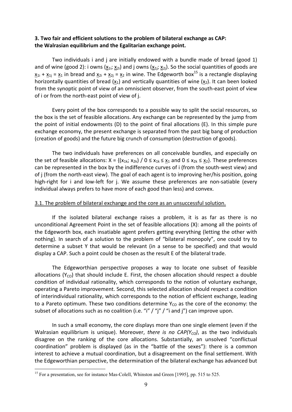# **3. Two fair and efficient solutions to the problem of bilateral exchange as CAP: the Walrasian equilibrium and the Egalitarian exchange point.**

Two individuals i and j are initially endowed with a bundle made of bread (good 1) and of wine (good 2): i owns ( $x_{1i}$ ;  $x_{2i}$ ) and j owns ( $x_{1i}$ ;  $x_{2i}$ ). So the social quantities of goods are  $x_{1i} + x_{1j} = x_1$  in bread and  $x_{2i} + x_{2j} = x_2$  in wine. The Edgeworth box<sup>15</sup> is a rectangle displaying horizontally quantities of bread  $(x_1)$  and vertically quantities of wine  $(x_2)$ . It can been looked from the synoptic point of view of an omniscient observer, from the south-east point of view of i or from the north‐east point of view of j.

Every point of the box corresponds to a possible way to split the social resources, so the box is the set of feasible allocations. Any exchange can be represented by the jump from the point of initial endowments (D) to the point of final allocations (E). In this simple pure exchange economy, the present exchange is separated from the past big bang of production (creation of goods) and the future big crunch of consumption (destruction of goods).

The two individuals have preferences on all conceivable bundles, and especially on the set of feasible allocations:  $X = \{(x_{1k}; x_{2k}) / 0 \le x_{1k} \le x_1 \text{ and } 0 \le x_{2k} \le x_2\}$ . These preferences can be represented in the box by the indifference curves of i (from the south‐west view) and of j (from the north-east view). The goal of each agent is to improving her/his position, going high-right for i and low-left for j. We assume these preferences are non-satiable (every individual always prefers to have more of each good than less) and convex.

#### 3.1. The problem of bilateral exchange and the core as an unsuccessful solution.

If the isolated bilateral exchange raises a problem, it is as far as there is no unconditional Agreement Point in the set of feasible allocations (X): among all the points of the Edgeworth box, each insatiable agent prefers getting everything (letting the other with nothing). In search of a solution to the problem of "bilateral monopoly", one could try to determine a subset Y that would be relevant (in a sense to be specified) and that would display a CAP. Such a point could be chosen as the result E of the bilateral trade.

The Edgeworthian perspective proposes a way to locate one subset of feasible allocations ( $Y_{CO}$ ) that should include E. First, the chosen allocation should respect a double condition of individual rationality, which corresponds to the notion of voluntary exchange, operating a Pareto improvement. Second, this selected allocation should respect a condition of interindividual rationality, which corresponds to the notion of efficient exchange, leading to a Pareto optimum. These two conditions determine  $Y_{CO}$  as the core of the economy: the subset of allocations such as no coalition (i.e. "i" / "j" / "i and j") can improve upon.

In such a small economy, the core displays more than one single element (even if the Walrasian equilibrium is unique). Moreover, *there is no CAP(Y<sub>co</sub>)*, as the two individuals disagree on the ranking of the core allocations. Substantially, an unsolved "conflictual coordination" problem is displayed (as in the "battle of the sexes"): there is a common interest to achieve a mutual coordination, but a disagreement on the final settlement. With the Edgeworthian perspective, the determination of the bilateral exchange has advanced but

<sup>&</sup>lt;sup>15</sup> For a presentation, see for instance Mas-Colell, Whinston and Green [1995], pp. 515 to 525.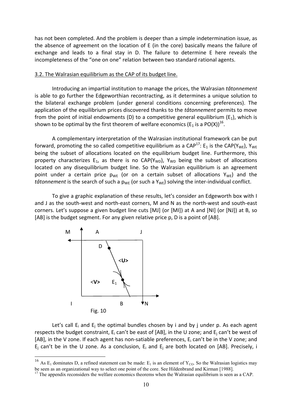has not been completed. And the problem is deeper than a simple indetermination issue, as the absence of agreement on the location of E (in the core) basically means the failure of exchange and leads to a final stay in D. The failure to determine E here reveals the incompleteness of the "one on one" relation between two standard rational agents.

#### 3.2. The Walrasian equilibrium as the CAP of its budget line.

Introducing an impartial institution to manage the prices, the Walrasian *tâtonnement* is able to go further the Edgeworthian recontracting, as it determines a unique solution to the bilateral exchange problem (under general conditions concerning preferences). The application of the equilibrium prices discovered thanks to the *tâtonnement* permits to move from the point of initial endowments (D) to a competitive general equilibrium ( $E_1$ ), which is shown to be optimal by the first theorem of welfare economics ( $E_1$  is a PO(X))<sup>16</sup>.

A complementary interpretation of the Walrasian institutional framework can be put forward, promoting the so called competitive equilibrium as a CAP<sup>17</sup>: E<sub>1</sub> is the CAP(Y<sub>WE</sub>), Y<sub>WE</sub> being the subset of allocations located on the equilibrium budget line. Furthermore, this property characterizes  $E_1$ , as there is no CAP( $Y_{WD}$ ),  $Y_{WD}$  being the subset of allocations located on any disequilibrium budget line. So the Walrasian equilibrium is an agreement point under a certain price  $p_{WE}$  (or on a certain subset of allocations  $Y_{WE}$ ) and the *tâtonnement* is the search of such a  $p_{WE}$  (or such a  $Y_{WE}$ ) solving the inter-individual conflict.

To give a graphic explanation of these results, let's consider an Edgeworth box with I and J as the south-west and north-east corners, M and N as the north-west and south-east corners. Let's suppose a given budget line cuts [MJ] (or [MI]) at A and [NI] (or [NJ]) at B, so [AB] is the budget segment. For any given relative price p, D is a point of [AB].



1

Let's call  $E_i$  and  $E_i$  the optimal bundles chosen by i and by j under p. As each agent respects the budget constraint,  $E_i$  can't be east of [AB], in the U zone; and  $E_i$  can't be west of [AB], in the V zone. If each agent has non-satiable preferences,  $E_i$  can't be in the V zone; and  $E_i$  can't be in the U zone. As a conclusion,  $E_i$  and  $E_i$  are both located on [AB]. Precisely, i

<sup>&</sup>lt;sup>16</sup> As E<sub>1</sub> dominates D, a refined statement can be made: E<sub>1</sub> is an element of Y<sub>CO</sub>. So the Walrasian logistics may be seen as an organizational way to select one point of the core. See Hildenbrand and Kirman [1988].

 $17$  The appendix reconsiders the welfare economics theorems when the Walrasian equilibrium is seen as a CAP.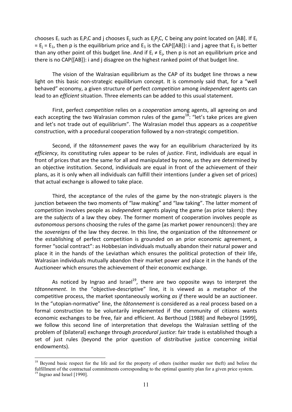chooses E<sub>i</sub> such as E<sub>i</sub>P<sub>i</sub>C and j chooses E<sub>i</sub> such as E<sub>i</sub>P<sub>i</sub>C, C being any point located on [AB]. If E<sub>i</sub> =  $E_i$  =  $E_1$ , then p is the equilibrium price and  $E_1$  is the CAP{[AB]}: i and j agree that  $E_1$  is better than any other point of this budget line. And if  $E_i \neq E_i$ , then p is not an equilibrium price and there is no CAP{[AB]}: i and j disagree on the highest ranked point of that budget line.

The vision of the Walrasian equilibrium as the CAP of its budget line throws a new light on this basic non-strategic equilibrium concept. It is commonly said that, for a "well behaved" economy, a given structure of perfect *competition* among *independent* agents can lead to an *efficient* situation. Three elements can be added to this usual statement.

First, perfect *competition* relies on a *cooperation* among agents, all agreeing on and each accepting the two Walrasian common rules of the game<sup>18</sup>: "let's take prices are given and let's not trade out of equilibrium". The Walrasian model thus appears as a *coopetitive* construction, with a procedural cooperation followed by a non‐strategic competition.

Second, if the *tâtonnement* paves the way for an equilibrium characterized by its *efficiency*, its constituting rules appear to be rules of *justice*. First, individuals are equal in front of prices that are the same for all and manipulated by none, as they are determined by an objective institution. Second, individuals are equal in front of the achievement of their plans, as it is only when all individuals can fulfill their intentions (under a given set of prices) that actual exchange is allowed to take place.

Third, the acceptance of the rules of the game by the non‐strategic players is the junction between the two moments of "law making" and "law taking". The latter moment of competition involves people as *independent* agents playing the game (as price takers): they are the *subjects* of a law they obey. The former moment of cooperation involves people as *autonomous* persons choosing the rules of the game (as market power renouncers): they are the *sovereigns* of the law they decree. In this line, the organization of the *tâtonnement* or the establishing of perfect competition is grounded on an prior economic agreement, a former "social contract": as Hobbesian individuals mutually abandon their natural power and place it in the hands of the Leviathan which ensures the political protection of their life, Walrasian individuals mutually abandon their market power and place it in the hands of the Auctioneer which ensures the achievement of their economic exchange.

As noticed by Ingrao and Israel<sup>19</sup>, there are two opposite ways to interpret the *tâtonnement*. In the "objective‐descriptive" line, it is viewed as a metaphor of the competitive process, the market spontaneously working *as if* there would be an auctioneer. In the "utopian‐normative" line, the *tâtonnement* is considered as a real process based on a formal construction to be voluntarily implemented if the community of citizens wants economic exchanges to be free, fair and efficient. As Berthoud [1988] and Rebeyrol [1999], we follow this second line of interpretation that develops the Walrasian settling of the problem of (bilateral) exchange through *procedural justice*: fair trade is established though a set of just rules (beyond the prior question of distributive justice concerning initial endowments).

<sup>&</sup>lt;sup>18</sup> Beyond basic respect for the life and for the property of others (neither murder nor theft) and before the fulfillment of the contractual commitments corresponding to the optimal quantity plan for a given price system.

<sup>&</sup>lt;sup>19</sup> Ingrao and Israel [1990].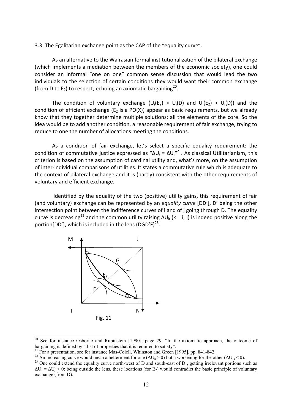#### 3.3. The Egalitarian exchange point as the CAP of the "equality curve".

As an alternative to the Walrasian formal institutionalization of the bilateral exchange (which implements a mediation between the members of the economic society), one could consider an informal "one on one" common sense discussion that would lead the two individuals to the selection of certain conditions they would want their common exchange (from D to  $E_2$ ) to respect, echoing an axiomatic bargaining<sup>20</sup>.

The condition of voluntary exchange ( $U_i(E_2) > U_i(D)$  and  $U_i(E_2) > U_i(D)$ ) and the condition of efficient exchange ( $E_2$  is a PO(X)) appear as basic requirements, but we already know that they together determine multiple solutions: all the elements of the core. So the idea would be to add another condition, a reasonable requirement of fair exchange, trying to reduce to one the number of allocations meeting the conditions.

As a condition of fair exchange, let's select a specific equality requirement: the condition of commutative justice expressed as " $\Delta U_i = \Delta U_j^{n^2}$ . As classical Utilitarianism, this criterion is based on the assumption of cardinal utility and, what's more, on the assumption of inter‐individual comparisons of utilities. It states a commutative rule which is adequate to the context of bilateral exchange and it is (partly) consistent with the other requirements of voluntary and efficient exchange.

 Identified by the equality of the two (positive) utility gains, this requirement of fair (and voluntary) exchange can be represented by an *equality curve* [DD'], D' being the other intersection point between the indifference curves of i and of j going through D. The equality curve is decreasing<sup>22</sup> and the common utility raising  $\Delta U_k$  (k = i, j) is indeed positive along the portion[DD'], which is included in the lens  $(DGD'F)^{23}$ .



<sup>&</sup>lt;sup>20</sup> See for instance Osborne and Rubinstein [1990], page 29: "In the axiomatic approach, the outcome of bargaining is defined by a list of properties that it is required to satisfy".<br><sup>21</sup> For a presentation, see for instance Mas-Colell, Whinston and Green [1995], pp. 841-842.<br><sup>22</sup> An increasing curve would mean a betterment

 $\Delta U_i = \Delta U_i < 0$ : being outside the lens, these locations (for E<sub>2</sub>) would contradict the basic principle of voluntary exchange (from D).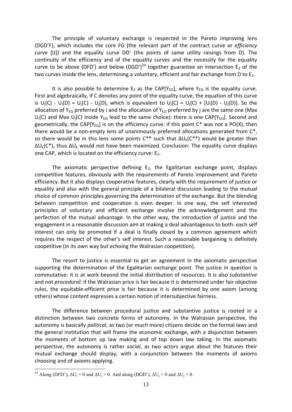The principle of voluntary exchange is respected in the Pareto improving lens (DGD'F), which includes the core FG (the relevant part of the contract curve or *efficiency curve* [IJ]) and the equality curve DD' (the points of same utility raisings from D). The continuity of the efficiency and of the equality curves and the necessity for the equality curve to be above (DFD') and below (DGD')<sup>24</sup> together guarantee an intersection  $E_2$  of the two curves inside the lens, determining a voluntary, efficient and fair exchange from D to  $E<sub>2</sub>$ .

It is also possible to determine  $E_2$  as the CAP[Y<sub>EQ</sub>], where Y<sub>EQ</sub> is the equality curve. First and algebraically, if C denotes any point of the equality curve, the equation of this curve is  $U_i(C) - U_i(D) = U_i(C) - U_i(D)$ , which is equivalent to  $U_i(C) = U_i(C) + [U_i(D) - U_i(D)]$ . So the allocation of Y<sub>EO</sub> preferred by i and the allocation of Y<sub>EO</sub> preferred by j are the same one (Max  $U_i(C)$  and Max  $U_i(C)$  inside Y<sub>EQ</sub> lead to the same choice): there is one CAP[Y<sub>EQ</sub>]. Second and geometrically, the CAP[Y<sub>EQ</sub>] is on the efficiency curve: if this point  $C^*$  was not a PO(X), then there would be a non-empty lens of unanimously preferred allocations generated from C<sup>\*</sup>, so there would be in this lens some points  $C^{**}$  such that  $\Delta U_k(C^{**})$  would be greater than  $\Delta U_k(C^*)$ , thus  $\Delta U_k$  would not have been maximized. Conclusion: The equality curve displays one CAP, which is located on the efficiency curve:  $E<sub>2</sub>$ .

The axiomatic perspective defining  $E_2$ , the Egalitarian exchange point, displays competitive features, obviously with the requirements of Pareto improvement and Pareto efficiency. But it also displays cooperative features, clearly with the requirement of justice or equality and also with the general principle of a bilateral discussion leading to the mutual choice of common principles governing the determination of the exchange. But the blending between competition and cooperation is even deeper. In one way, the self interested principles of voluntary and efficient exchange involve the acknowledgement and the perfection of the mutual advantage. In the other way, the introduction of justice and the engagement in a reasonable discussion aim at making a deal advantageous to both: each self interest can only be promoted if a deal is finally closed by a common agreement which requires the respect of the other's self interest. Such a reasonable bargaining is definitely coopetitive (in its own way but echoing the Walrasian coopetition).

The resort to justice is essential to get an agreement in the axiomatic perspective supporting the determination of the Egalitarian exchange point. The justice in question is commutative: it is at work beyond the initial distribution of resources. It is also *substantive* and not *procedural*: if the Walrasian price is fair because it is determined under fair objective rules, the equitable‐efficient price is fair because it is determined by one axiom (among others) whose content expresses a certain notion of intersubjective fairness.

The difference between procedural justice and substantive justice is rooted in a distinction between two concrete forms of autonomy. In the Walrasian perspective, the autonomy is basically *political*, as two (or much more) citizens decide on the formal laws and the general institution that will frame the economic exchange, with a disjunction between the moments of bottom up law making and of top down law taking. In the axiomatic perspective, the autonomy is rather *social*, as two actors argue about the features their mutual exchange should display, with a conjunction between the moments of axioms choosing and of axioms applying.

<sup>&</sup>lt;sup>24</sup> Along (DFD'),  $\Delta U_i = 0$  and  $\Delta U_i > 0$ . And along (DGD'),  $\Delta U_i > 0$  and  $\Delta U_i = 0$ .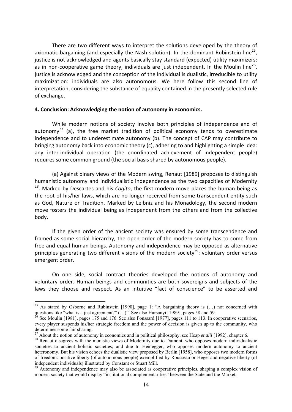There are two different ways to interpret the solutions developed by the theory of axiomatic bargaining (and especially the Nash solution). In the dominant Rubinstein line<sup>25</sup>. justice is not acknowledged and agents basically stay standard (expected) utility maximizers: as in non-cooperative game theory, individuals are just independent. In the Moulin line<sup>26</sup>. justice is acknowledged and the conception of the individual is dualistic, irreducible to utility maximization: individuals are also autonomous. We here follow this second line of interpretation, considering the substance of equality contained in the presently selected rule of exchange.

#### **4. Conclusion: Acknowledging the notion of autonomy in economics.**

While modern notions of society involve both principles of independence and of autonomy<sup>27</sup> (a), the free market tradition of political economy tends to overestimate independence and to underestimate autonomy (b). The concept of CAP may contribute to bringing autonomy back into economic theory (c), adhering to and highlighting a simple idea: any inter-individual operation (the coordinated achievement of independent people) requires some common ground (the social basis shared by autonomous people).

(a) Against binary views of the Modern swing, Renaut [1989] proposes to distinguish humanistic autonomy and individualistic independence as the two capacities of Modernity 28. Marked by Descartes and his *Cogito*, the first modern move places the human being as the root of his/her laws, which are no longer received from some transcendent entity such as God, Nature or Tradition. Marked by Leibniz and his Monadology, the second modern move fosters the individual being as independent from the others and from the collective body.

If the given order of the ancient society was ensured by some transcendence and framed as some social hierarchy, the open order of the modern society has to come from free and equal human beings. Autonomy and independence may be opposed as alternative principles generating two different visions of the modern society<sup>29</sup>: voluntary order versus emergent order.

On one side, social contract theories developed the notions of autonomy and voluntary order. Human beings and communities are both sovereigns and subjects of the laws they choose and respect. As an intuitive "fact of conscience" to be asserted and

<sup>&</sup>lt;sup>25</sup> As stated by Osborne and Rubinstein [1990], page 1: "A bargaining theory is  $(...)$  not concerned with questions like "what is a just agreement?"  $(...)$ ". See also Harsanyi [1989], pages 58 and 59.

<sup>&</sup>lt;sup>26</sup> See Moulin [1981], pages 175 and 176. See also Ponssard [1977], pages 111 to 113. In cooperative scenarios, every player suspends his/her strategic freedom and the power of decision is given up to the community, who determines some fair sharing.<br><sup>27</sup> About the notion of autonomy in economics and in political philosophy, see Heap *et alii* [1992], chapter 6.

<sup>&</sup>lt;sup>28</sup> Renaut disagrees with the monistic views of Modernity due to Dumont, who opposes modern individualistic societies to ancient holistic societies; and due to Heidegger, who opposes modern autonomy to ancient heteronomy. But his vision echoes the dualistic view proposed by Berlin [1958], who opposes two modern forms of freedom: positive liberty (of autonomous people) exemplified by Rousseau or Hegel and negative liberty (of independent individuals) illustrated by Constant or Stuart Mill.

 $29$  Autonomy and independence may also be associated as cooperative principles, shaping a complex vision of modern society that would display "institutional complementarities" between the State and the Market.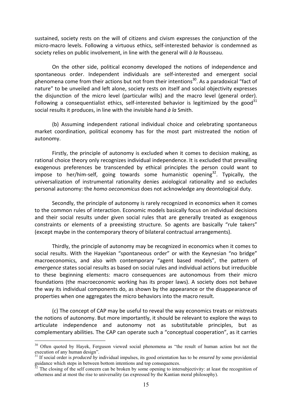sustained, society rests on the will of citizens and civism expresses the conjunction of the micro-macro levels. Following a virtuous ethics, self-interested behavior is condemned as society relies on public involvement, in line with the general will *à la* Rousseau.

On the other side, political economy developed the notions of independence and spontaneous order. Independent individuals are self-interested and emergent social phenomena come from their actions but not from their intentions<sup>30</sup>. As a paradoxical "fact of nature" to be unveiled and left alone, society rests on itself and social objectivity expresses the disjunction of the micro level (particular wills) and the macro level (general order). Following a consequentialist ethics, self-interested behavior is legitimized by the good<sup>31</sup> social results it produces, in line with the invisible hand *à la* Smith.

(b) Assuming independent rational individual choice and celebrating spontaneous market coordination, political economy has for the most part mistreated the notion of autonomy.

Firstly, the principle of autonomy is excluded when it comes to decision making, as rational choice theory only recognizes individual independence. It is excluded that prevailing exogenous preferences be transcended by ethical principles the person could want to impose to her/him-self, going towards some humanistic opening<sup>32</sup>. Typically, the universalization of instrumental rationality denies axiological rationality and so excludes personal autonomy: the *homo oeconomicus* does not acknowledge any deontological duty.

Secondly, the principle of autonomy is rarely recognized in economics when it comes to the common rules of interaction. Economic models basically focus on individual decisions and their social results under given social rules that are generally treated as exogenous constraints or elements of a preexisting structure. So agents are basically "rule takers" (except maybe in the contemporary theory of bilateral contractual arrangements).

Thirdly, the principle of autonomy may be recognized in economics when it comes to social results. With the Hayekian "spontaneous order" or with the Keynesian "no bridge" macroeconomics, and also with contemporary "agent based models", the pattern of *emergence* states social results as based on social rules and individual actions but irreducible to these beginning elements: macro consequences are autonomous from their micro foundations (the macroeconomic working has its proper laws). A society does not behave the way its individual components do, as shown by the appearance or the disappearance of properties when one aggregates the micro behaviors into the macro result.

(c) The concept of CAP may be useful to reveal the way economics treats or mistreats the notions of autonomy. But more importantly, it should be relevant to explore the ways to articulate independence and autonomy not as substitutable principles, but as complementary abilities. The CAP can operate such a "conceptual cooperation", as it carries

<sup>&</sup>lt;sup>30</sup> Often quoted by Hayek, Ferguson viewed social phenomena as "the result of human action but not the execution of any human design".

<sup>31</sup> If social order is *produced by* individual impulses, its good orientation has to be *ensured by* some providential guidance which steps in between bottom intentions and top consequences.

The closing of the self concern can be broken by some opening to intersubjectivity: at least the recognition of otherness and at most the rise to universality (as expressed by the Kantian moral philosophy).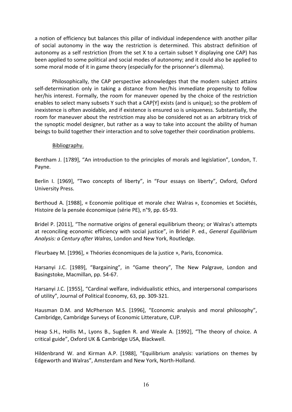a notion of efficiency but balances this pillar of individual independence with another pillar of social autonomy in the way the restriction is determined. This abstract definition of autonomy as a self restriction (from the set X to a certain subset Y displaying one CAP) has been applied to some political and social modes of autonomy; and it could also be applied to some moral mode of it in game theory (especially for the prisonner's dilemma).

Philosophically, the CAP perspective acknowledges that the modern subject attains self-determination only in taking a distance from her/his immediate propensity to follow her/his interest. Formally, the room for maneuver opened by the choice of the restriction enables to select many subsets Y such that a CAP[Y] exists (and is unique); so the problem of inexistence is often avoidable, and if existence is ensured so is uniqueness. Substantially, the room for maneuver about the restriction may also be considered not as an arbitrary trick of the synoptic model designer, but rather as a way to take into account the ability of human beings to build together their interaction and to solve together their coordination problems.

## Bibliography.

Bentham J. [1789], "An introduction to the principles of morals and legislation", London, T. Payne.

Berlin I. [1969], "Two concepts of liberty", in "Four essays on liberty", Oxford, Oxford University Press.

Berthoud A. [1988], « Economie politique et morale chez Walras », Economies et Sociétés, Histoire de la pensée économique (série PE), n°9, pp. 65‐93.

Bridel P. [2011], "The normative origins of general equilibrium theory; or Walras's attempts at reconciling economic efficiency with social justice", in Bridel P. ed., *General Equilibrium Analysis: a Century after Walras*, London and New York, Routledge.

Fleurbaey M. [1996], « Théories économiques de la justice », Paris, Economica.

Harsanyi J.C. [1989], "Bargaining", in "Game theory", The New Palgrave, London and Basingstoke, Macmillan, pp. 54‐67.

Harsanyi J.C. [1955], "Cardinal welfare, individualistic ethics, and interpersonal comparisons of utility", Journal of Political Economy, 63, pp. 309‐321.

Hausman D.M. and McPherson M.S. [1996], "Economic analysis and moral philosophy", Cambridge, Cambridge Surveys of Economic Litterature, CUP.

Heap S.H., Hollis M., Lyons B., Sugden R. and Weale A. [1992], "The theory of choice. A critical guide", Oxford UK & Cambridge USA, Blackwell.

Hildenbrand W. and Kirman A.P. [1988], "Equilibrium analysis: variations on themes by Edgeworth and Walras", Amsterdam and New York, North‐Holland.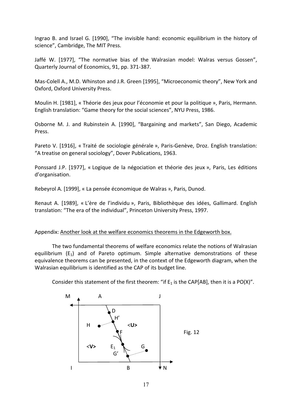Ingrao B. and Israel G. [1990], "The invisible hand: economic equilibrium in the history of science", Cambridge, The MIT Press.

Jaffé W. [1977], "The normative bias of the Walrasian model: Walras versus Gossen", Quarterly Journal of Economics, 91, pp. 371‐387.

Mas-Colell A., M.D. Whinston and J.R. Green [1995], "Microeconomic theory", New York and Oxford, Oxford University Press.

Moulin H. [1981], « Théorie des jeux pour l'économie et pour la politique », Paris, Hermann. English translation: "Game theory for the social sciences", NYU Press, 1986.

Osborne M. J. and Rubinstein A. [1990], "Bargaining and markets", San Diego, Academic Press.

Pareto V. [1916], « Traité de sociologie générale », Paris‐Genève, Droz. English translation: "A treatise on general sociology", Dover Publications, 1963.

Ponssard J.P. [1977], « Logique de la négociation et théorie des jeux », Paris, Les éditions d'organisation.

Rebeyrol A. [1999], « La pensée économique de Walras », Paris, Dunod.

Renaut A. [1989], « L'ère de l'individu », Paris, Bibliothèque des idées, Gallimard. English translation: "The era of the individual", Princeton University Press, 1997.

## Appendix: Another look at the welfare economics theorems in the Edgeworth box.

The two fundamental theorems of welfare economics relate the notions of Walrasian equilibrium  $(E_1)$  and of Pareto optimum. Simple alternative demonstrations of these equivalence theorems can be presented, in the context of the Edgeworth diagram, when the Walrasian equilibrium is identified as the CAP of its budget line.

Consider this statement of the first theorem: "if  $E_1$  is the CAP[AB], then it is a PO(X)".